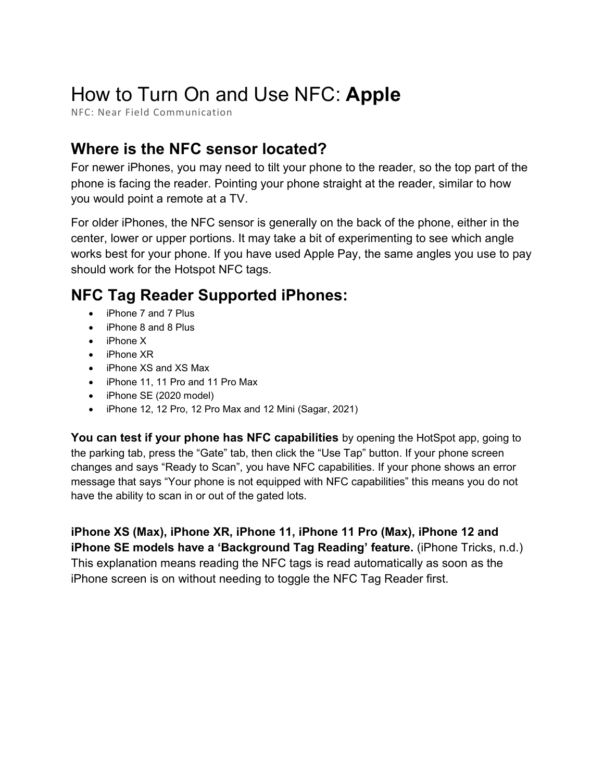# How to Turn On and Use NFC: **Apple**

NFC: Near Field Communication

## **Where is the NFC sensor located?**

For newer iPhones, you may need to tilt your phone to the reader, so the top part of the phone is facing the reader. Pointing your phone straight at the reader, similar to how you would point a remote at a TV.

For older iPhones, the NFC sensor is generally on the back of the phone, either in the center, lower or upper portions. It may take a bit of experimenting to see which angle works best for your phone. If you have used Apple Pay, the same angles you use to pay should work for the Hotspot NFC tags.

## **NFC Tag Reader Supported iPhones:**

- iPhone 7 and 7 Plus
- iPhone 8 and 8 Plus
- iPhone X
- iPhone XR
- iPhone XS and XS Max
- iPhone 11, 11 Pro and 11 Pro Max
- iPhone SE (2020 model)
- iPhone 12, 12 Pro, 12 Pro Max and 12 Mini (Sagar, 2021)

**You can test if your phone has NFC capabilities** by opening the HotSpot app, going to the parking tab, press the "Gate" tab, then click the "Use Tap" button. If your phone screen changes and says "Ready to Scan", you have NFC capabilities. If your phone shows an error message that says "Your phone is not equipped with NFC capabilities" this means you do not have the ability to scan in or out of the gated lots.

**iPhone XS (Max), iPhone XR, iPhone 11, iPhone 11 Pro (Max), iPhone 12 and iPhone SE models have a 'Background Tag Reading' feature.** (iPhone Tricks, n.d.) This explanation means reading the NFC tags is read automatically as soon as the iPhone screen is on without needing to toggle the NFC Tag Reader first.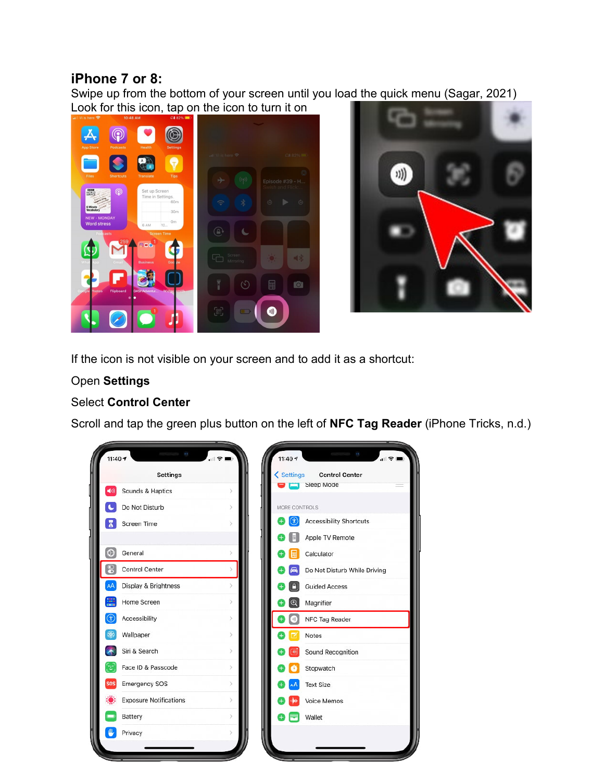#### **iPhone 7 or 8:**

Swipe up from the bottom of your screen until you load the quick menu (Sagar, 2021) Look for this icon, tap on the icon to turn it on





If the icon is not visible on your screen and to add it as a shortcut:

#### Open **Settings**

#### Select **Control Center**

Scroll and tap the green plus button on the left of **NFC Tag Reader** (iPhone Tricks, n.d.)

| <b>Settings</b>               |               | < Settings<br><b>Control Center</b> |
|-------------------------------|---------------|-------------------------------------|
| Sounds & Haptics              |               | Sleep Mode                          |
| Do Not Disturb                | $\mathcal{P}$ | MORE CONTROLS                       |
| <b>Screen Time</b>            |               | <b>Accessibility Shortcuts</b>      |
|                               |               | Apple TV Remote                     |
| General                       |               | Calculator                          |
| 8<br><b>Control Center</b>    |               | Do Not Disturb While Driving        |
| Display & Brightness          | 5             | <b>Guided Access</b>                |
| Home Screen                   | $\mathcal{E}$ | $\mathbb{Q}$<br>Magnifier           |
| Accessibility                 | $\geq$        | NFC Tag Reader<br>40                |
| Wallpaper                     | $\geq$        | Notes                               |
| Siri & Search                 | $\mathcal{P}$ | Sound Recognition                   |
| Face ID & Passcode            | S.            | Stopwatch                           |
| <b>Emergency SOS</b><br>sos   | $\geq$        | <b>Text Size</b>                    |
| <b>Exposure Notifications</b> | $\rightarrow$ | Voice Memos                         |
| Battery                       |               | Wallet                              |
| Privacy                       |               |                                     |